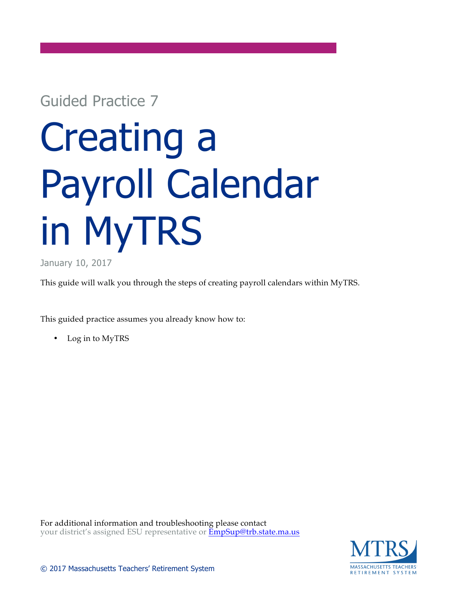## Guided Practice 7

## Creating a Payroll Calendar in MyTRS

January 10, 2017

This guide will walk you through the steps of creating payroll calendars within MyTRS.

This guided practice assumes you already know how to:

• Log in to MyTRS

For additional information and troubleshooting please contact your district's assigned ESU representative or **EmpSup@trb.state.ma.us** 

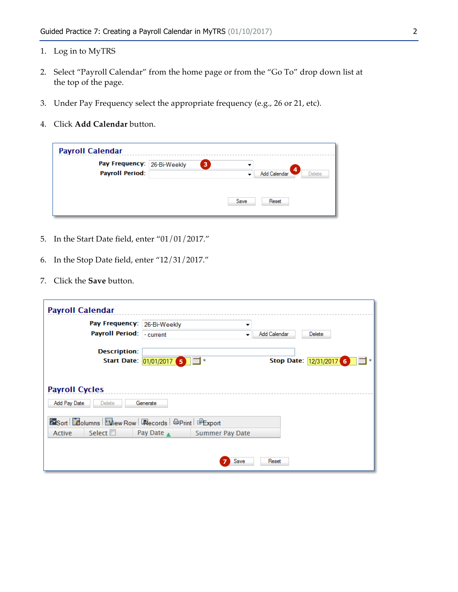- 1. Log in to MyTRS
- 2. Select "Payroll Calendar" from the home page or from the "Go To" drop down list at the top of the page.
- 3. Under Pay Frequency select the appropriate frequency (e.g., 26 or 21, etc).
- 4. Click **Add Calendar** button.

| <b>Payroll Calendar</b>     |      |                         |
|-----------------------------|------|-------------------------|
| Pay Frequency: 26-Bi-Weekly | 3    | $\overline{4}$          |
| <b>Payroll Period:</b>      |      | Add Calendar<br>Delete. |
|                             |      |                         |
|                             | Save | Reset                   |
|                             |      |                         |

- 5. In the Start Date field, enter "01/01/2017."
- 6. In the Stop Date field, enter "12/31/2017."
- 7. Click the **Save** button.

| <b>Payroll Calendar</b>                                          |                          |                        |              |                                        |
|------------------------------------------------------------------|--------------------------|------------------------|--------------|----------------------------------------|
| Pay Frequency: 26-Bi-Weekly                                      |                          | ▼                      |              |                                        |
| Payroll Period:                                                  | - current                | ▼                      | Add Calendar | <b>Delete</b>                          |
| <b>Description:</b>                                              | Start Date: 01/01/2017 5 | $\mathbb{R}^n$         |              | Stop Date: 12/31/2017 6<br><b>FILL</b> |
|                                                                  |                          |                        |              |                                        |
| <b>Payroll Cycles</b><br>Add Pay Date<br><b>Delete</b>           | Generate                 |                        |              |                                        |
| <b>ExSort   Loolumns   Niew Row   Pecords   @Print   @Export</b> |                          |                        |              |                                        |
| Select $\square$<br>Active                                       | Pay Date A               | <b>Summer Pay Date</b> |              |                                        |
|                                                                  |                          |                        |              |                                        |
|                                                                  |                          | Save                   | Reset        |                                        |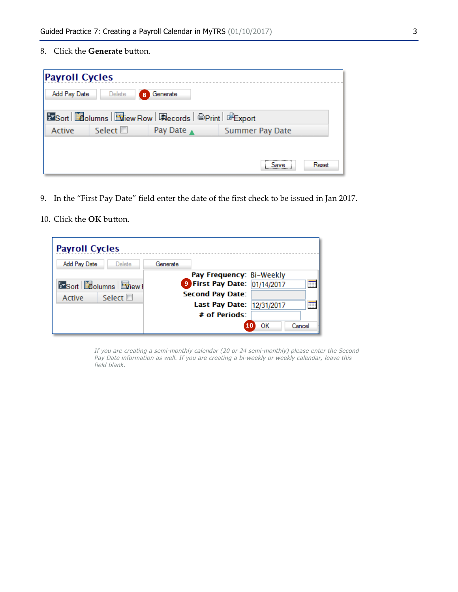8. Click the **Generate** button.

| <b>Payroll Cycles</b> |                  |                                                             |                        |  |
|-----------------------|------------------|-------------------------------------------------------------|------------------------|--|
| Add Pay Date          | Delete           | Generate<br>8                                               |                        |  |
|                       |                  | <b>ExSort Columns Wiew Row   Records   @Print   @Export</b> |                        |  |
| Active                | Select $\square$ | Pay Date A                                                  | <b>Summer Pay Date</b> |  |
|                       |                  |                                                             |                        |  |
|                       |                  |                                                             | Reset<br><b>Save</b>   |  |

- 9. In the "First Pay Date" field enter the date of the first check to be issued in Jan 2017.
- 10. Click the **OK** button.

| <b>Payroll Cycles</b>         |                                   |
|-------------------------------|-----------------------------------|
| Add Pay Date<br><b>Delete</b> | Generate                          |
|                               | Pay Frequency: Bi-Weekly          |
| <b>ExSort Columns Diew F</b>  | 9 First Pay Date: 01/14/2017<br>m |
| Select $\square$<br>Active    | <b>Second Pay Date:</b>           |
|                               | Last Pay Date: 12/31/2017<br>m    |
|                               | # of Periods:                     |
|                               | OΚ<br>Cancel                      |

If you are creating a semi-monthly calendar (20 or 24 semi-monthly) please enter the Second Pay Date information as well. If you are creating a bi-weekly or weekly calendar, leave this field blank.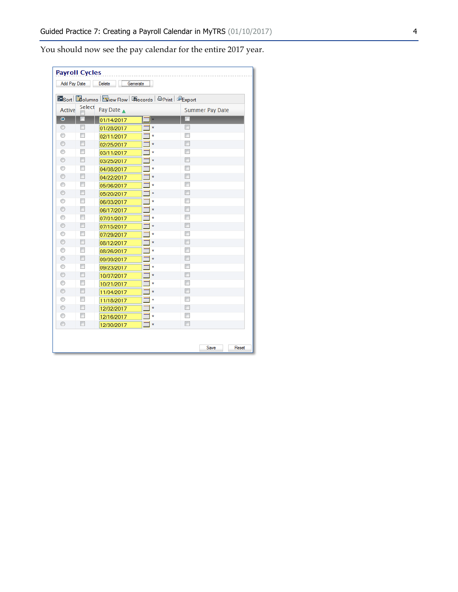You should now see the pay calendar for the entire 2017 year.

| <b>Payroll Cycles</b>                     |                                                                  |            |                                      |                          |                        |       |  |  |
|-------------------------------------------|------------------------------------------------------------------|------------|--------------------------------------|--------------------------|------------------------|-------|--|--|
| Add Pay Date<br><b>Delete</b><br>Generate |                                                                  |            |                                      |                          |                        |       |  |  |
|                                           | Sort <b>Columns</b> Tiew Row   Records   @Print   <b>@Export</b> |            |                                      |                          |                        |       |  |  |
| <b>Active</b>                             | Select                                                           | Pay Date A |                                      |                          | <b>Summer Pay Date</b> |       |  |  |
|                                           |                                                                  |            |                                      |                          |                        |       |  |  |
| $\bullet$                                 | F                                                                | 01/14/2017 | $\overline{\mathbb{H}}$ *            |                          |                        |       |  |  |
| $\circledcirc$                            | П                                                                | 01/28/2017 | $\overline{m}$ *                     | $\blacksquare$           |                        |       |  |  |
| ⊙<br>$\odot$                              | $\Box$                                                           | 02/11/2017 | m.<br>$\dot{\mathbf{x}}$             | □                        |                        |       |  |  |
|                                           | П                                                                | 02/25/2017 | $\overline{m}$ *                     | $\overline{\phantom{a}}$ |                        |       |  |  |
| 0                                         | $\Box$                                                           | 03/11/2017 | <b>THE</b><br>$\dot{x}$              | $\blacksquare$           |                        |       |  |  |
| $\circledcirc$                            |                                                                  | 03/25/2017 | $\overline{m}$ *                     |                          |                        |       |  |  |
| ⊙                                         | П                                                                | 04/08/2017 | <b>THE</b><br>$\dot{\mathbf{x}}$     | $\Box$                   |                        |       |  |  |
| $\circledcirc$                            | П<br>П                                                           | 04/22/2017 | $\overline{m}$ *                     | □                        |                        |       |  |  |
| ⊙                                         | $\Box$                                                           | 05/06/2017 | $\overline{m}$<br>$\mathbf{\hat{x}}$ | П<br>$\blacksquare$      |                        |       |  |  |
| $\odot$                                   | $\Box$                                                           | 05/20/2017 | $\overline{m}$ *                     | $\Box$                   |                        |       |  |  |
| ⊙                                         |                                                                  | 06/03/2017 | m<br>$\dot{x}$                       |                          |                        |       |  |  |
| $\odot$                                   | $\Box$                                                           | 06/17/2017 | $\overline{\mathbb{H}}$ *            | ⊓                        |                        |       |  |  |
| ⊙                                         | П                                                                | 07/01/2017 | m.<br>$\dot{\mathbf{x}}$             | П                        |                        |       |  |  |
| $^{\circ}$                                | $\Box$                                                           | 07/15/2017 | $\overline{\mathbb{H}}$ *            | $\overline{\phantom{a}}$ |                        |       |  |  |
| ⊙                                         | $\Box$                                                           | 07/29/2017 | $\overline{\mathbb{R}}$ *            | $\Box$                   |                        |       |  |  |
| $\circledcirc$                            | П                                                                | 08/12/2017 | $\overline{\mathbb{H}}$ *            | ⊓                        |                        |       |  |  |
| ⊙                                         | П                                                                | 08/26/2017 | $\blacksquare$                       | □                        |                        |       |  |  |
| $\circledcirc$                            | $\Box$                                                           | 09/09/2017 | $\overline{m}$ *                     | $\Box$                   |                        |       |  |  |
| ⊙                                         | $\blacksquare$                                                   | 09/23/2017 | $\overline{\mathbb{R}}$ *            | $\overline{\phantom{a}}$ |                        |       |  |  |
| ◉                                         | $\Box$                                                           | 10/07/2017 | $\overline{\mathbb{H}}$ *            | $\Box$                   |                        |       |  |  |
| ⊙                                         | $\Box$                                                           | 10/21/2017 | m.<br>$\dot{\mathbf{x}}$             | $\Box$                   |                        |       |  |  |
| $\odot$                                   | $\Box$                                                           | 11/04/2017 | $\overline{m}$ *                     | $\Box$                   |                        |       |  |  |
| ⊙                                         | $\Box$                                                           | 11/18/2017 | <b>THE</b><br>$\dot{x}$              | $\Box$                   |                        |       |  |  |
| $\circledcirc$                            | $\Box$                                                           | 12/02/2017 | $\overline{m}$ *                     | $\Box$                   |                        |       |  |  |
| O                                         | П                                                                | 12/16/2017 | m<br>$\dot{\mathbf{x}}$              | □                        |                        |       |  |  |
| $\odot$                                   | $\Box$                                                           | 12/30/2017 | $\blacksquare$                       | $\Box$                   |                        |       |  |  |
|                                           |                                                                  |            |                                      |                          |                        |       |  |  |
|                                           |                                                                  |            |                                      |                          | Save                   |       |  |  |
|                                           |                                                                  |            |                                      |                          |                        | Reset |  |  |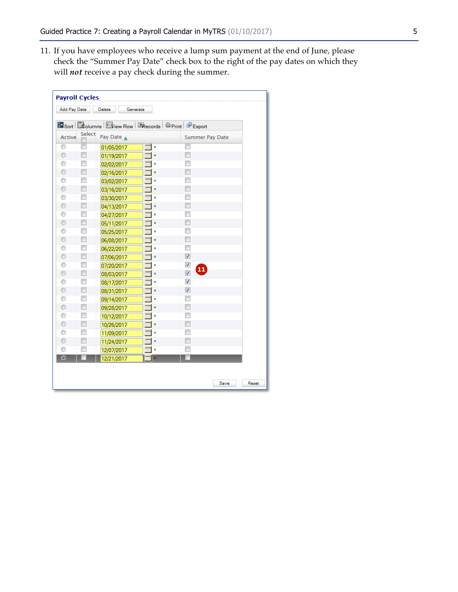11. If you have employees who receive a lump sum payment at the end of June, please check the "Summer Pay Date" check box to the right of the pay dates on which they will *not* receive a pay check during the summer.

| <b>Payroll Cycles</b><br>Add Pay Date |                          |                                                                        |                           |                          |               |
|---------------------------------------|--------------------------|------------------------------------------------------------------------|---------------------------|--------------------------|---------------|
|                                       |                          | <b>Delete</b><br>Generate                                              |                           |                          |               |
|                                       |                          | <b>Ex Sort   Adolumns   Elview Row   Expects   ADDITION</b>   @ Export |                           |                          |               |
| Active                                | Select                   | Pay Date A                                                             |                           | <b>Summer Pay Date</b>   |               |
| 0                                     | $\overline{\phantom{a}}$ | 01/05/2017                                                             | $\overline{\mathbb{H}}$ * | $\Box$                   |               |
| $\circledcirc$                        | $\Box$                   | 01/19/2017                                                             | $\blacksquare$            | П                        |               |
| 0                                     | $\overline{\phantom{a}}$ | 02/02/2017                                                             | 噩<br>$\hat{\mathbf{x}}$   | $\Box$                   |               |
| $\circledcirc$                        | $\Box$                   | 02/16/2017                                                             | $\blacksquare\ast$        | $\overline{\phantom{a}}$ |               |
| 0                                     | $\Box$                   | 03/02/2017                                                             | $\blacksquare$<br>ŵ       | $\Box$                   |               |
| $\circledcirc$                        | $\overline{\phantom{a}}$ | 03/16/2017                                                             | $\overline{\mathbb{H}}$ * | $\Box$                   |               |
| ⊙                                     | $\Box$                   | 03/30/2017                                                             | m<br>Ř                    | П                        |               |
| $\circledcirc$                        | $\Box$                   | 04/13/2017                                                             | $\blacksquare$ *          | $\Box$                   |               |
| ⊙                                     | $\Box$                   | 04/27/2017                                                             | $\blacksquare$ *          | $\overline{\phantom{a}}$ |               |
| $\circledcirc$                        | $\Box$                   | 05/11/2017                                                             | $\blacksquare$            | П                        |               |
| 0                                     | $\overline{\phantom{a}}$ | 05/25/2017                                                             | 噩<br>$\hat{\mathbf{x}}$   |                          |               |
| $\circledcirc$                        | $\Box$                   | 06/08/2017                                                             | $\blacksquare\ast$        | П                        |               |
| 0                                     | $\Box$                   | 06/22/2017                                                             | $\blacksquare^*$          | П                        |               |
| $\circledcirc$                        | $\Box$                   | 07/06/2017                                                             | $\overline{\mathbb{H}}$ * | $\overline{\mathbf{v}}$  |               |
| 0                                     | $\Box$                   | 07/20/2017                                                             | m<br>$\hat{\mathbf{x}}$   | ⊽<br>$\boldsymbol{\Phi}$ |               |
| $\circledcirc$                        | $\overline{\phantom{a}}$ | 08/03/2017                                                             | $\blacksquare$            | $\overline{\mathbf{v}}$  |               |
| 0                                     | $\Box$                   | 08/17/2017                                                             | m.<br>Ř                   | V                        |               |
| $\odot$                               | $\Box$                   | 08/31/2017                                                             | $\blacksquare$            | $\overline{\mathbf{v}}$  |               |
| 0                                     | $\Box$                   | 09/14/2017                                                             | ⊞<br>Ř                    | $\Box$                   |               |
| $\circledcirc$                        | $\Box$                   | 09/28/2017                                                             | ▥⋄                        | $\Box$                   |               |
| 0                                     | $\overline{\phantom{a}}$ | 10/12/2017                                                             | 噩<br>$\hat{\mathbf{x}}$   | П                        |               |
| $\circledcirc$                        | $\Box$                   | 10/26/2017                                                             | $\blacksquare\ast$        | П                        |               |
| 0                                     | $\Box$                   | 11/09/2017                                                             | 噩<br>ŵ                    | $\overline{\phantom{a}}$ |               |
| $\circledcirc$                        | $\Box$                   | 11/24/2017                                                             | $\overline{\mathbb{H}}$ * | П                        |               |
| 0                                     | $\overline{\phantom{a}}$ | 12/07/2017                                                             | $\blacksquare\star$       | П                        |               |
| $\bullet$                             |                          | 12/21/2017                                                             | $\overline{m}$ *          | П                        |               |
|                                       |                          |                                                                        |                           |                          |               |
|                                       |                          |                                                                        |                           |                          |               |
|                                       |                          |                                                                        |                           |                          | Save<br>Reset |